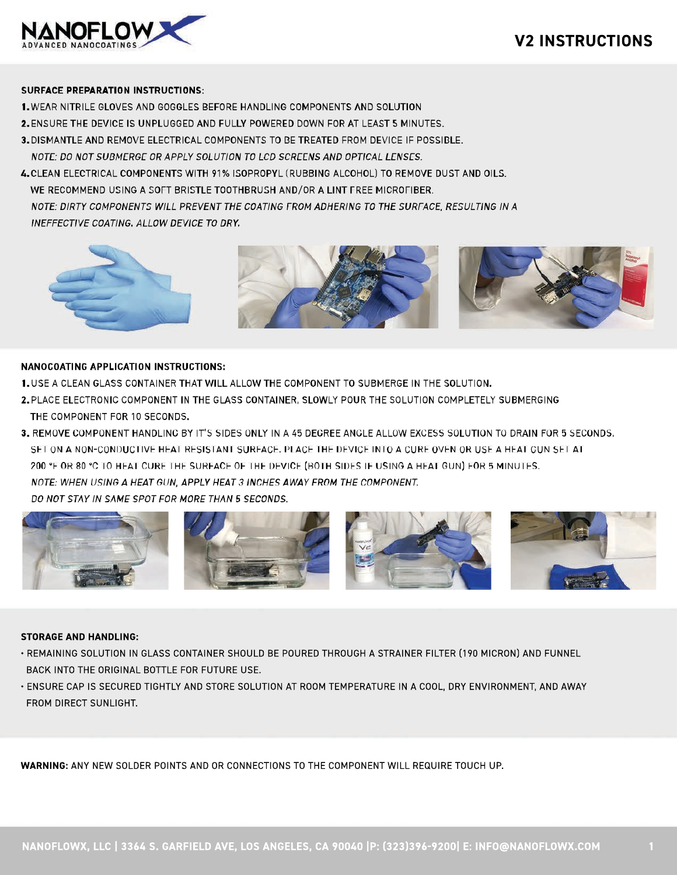

### **SURFACE PREPARATION INSTRUCTIONS:**

1. WEAR NITRILE GLOVES AND GOGGLES BEFORE HANDLING COMPONENTS AND SOLUTION

- 2. ENSURE THE DEVICE IS UNPLUGGED AND FULLY POWERED DOWN FOR AT LEAST 5 MINUTES.
- 3. DISMANTLE AND REMOVE ELECTRICAL COMPONENTS TO BE TREATED FROM DEVICE IF POSSIBLE.

NOTE: DO NOT SUBMERGE OR APPLY SOLUTION TO LCD SCREENS AND OPTICAL LENSES.

4. CLEAN ELECTRICAL COMPONENTS WITH 91% ISOPROPYL (RUBBING ALCOHOL) TO REMOVE DUST AND OILS. WE RECOMMEND USING A SOFT BRISTLE TOOTHBRUSH AND/OR A LINT FREE MICROFIBER. NOTE: DIRTY COMPONENTS WILL PREVENT THE COATING FROM ADHERING TO THE SURFACE, RESULTING IN A INEFFECTIVE COATING. ALLOW DEVICE TO DRY.



# NANOCOATING APPLICATION INSTRUCTIONS:

1. USE A CLEAN GLASS CONTAINER THAT WILL ALLOW THE COMPONENT TO SUBMERGE IN THE SOLUTION.

- 2. PLACE ELECTRONIC COMPONENT IN THE GLASS CONTAINER, SLOWLY POUR THE SOLUTION COMPLETELY SUBMERGING THE COMPONENT FOR 10 SECONDS.
- 3. REMOVE COMPONENT HANDLING BY IT'S SIDES ONLY IN A 45 DEGREE ANGLE ALLOW EXCESS SOLUTION TO DRAIN FOR 5 SECONDS. SET ON A NON-CONDUCTIVE HEAT RESISTANT SURFACE. PLACE THE DEVICE INTO A CURE OVEN OR USE A HEAT CUN SET AT 200 °F OR 80 °C 10 HEAT CURF THE SURFACE OF THE DEVICE (BOTH SIDES IF USING A HEAT GUN) FOR 5 MINUTES. NOTE: WHEN USING A HEAT GUN. APPLY HEAT 3 INCHES AWAY FROM THE COMPONENT. DO NOT STAY IN SAME SPOT FOR MORE THAN 5 SECONDS.



## **STORAGE AND HANDLING:**

- REMAINING SOLUTION IN GLASS CONTAINER SHOULD BE POURED THROUGH A STRAINER FILTER (190 MICRON) AND FUNNEL BACK INTO THE ORIGINAL BOTTLE FOR FUTURE USE.
- ENSURE CAP IS SECURED TIGHTLY AND STORE SOLUTION AT ROOM TEMPERATURE IN A COOL, DRY ENVIRONMENT, AND AWAY FROM DIRECT SUNLIGHT.

**WARNING:** ANY NEW SOLDER POINTS AND OR CONNECTIONS TO THE COMPONENT WILL REQUIRE TOUCH UP.